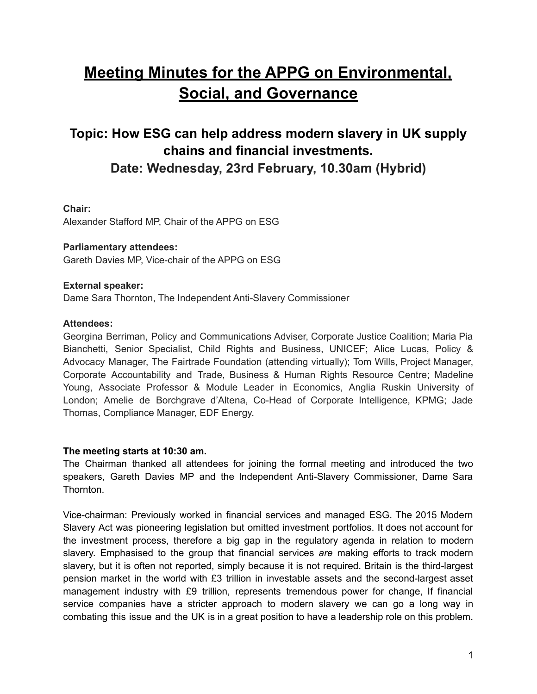# **Meeting Minutes for the APPG on Environmental, Social, and Governance**

# **Topic: How ESG can help address modern slavery in UK supply chains and financial investments. Date: Wednesday, 23rd February, 10.30am (Hybrid)**

## **Chair:**

Alexander Stafford MP, Chair of the APPG on ESG

#### **Parliamentary attendees:**

Gareth Davies MP, Vice-chair of the APPG on ESG

#### **External speaker:**

Dame Sara Thornton, The Independent Anti-Slavery Commissioner

#### **Attendees:**

Georgina Berriman, Policy and Communications Adviser, Corporate Justice Coalition; Maria Pia Bianchetti, Senior Specialist, Child Rights and Business, UNICEF; Alice Lucas, Policy & Advocacy Manager, The Fairtrade Foundation (attending virtually); Tom Wills, Project Manager, Corporate Accountability and Trade, Business & Human Rights Resource Centre; Madeline Young, Associate Professor & Module Leader in Economics, Anglia Ruskin University of London; Amelie de Borchgrave d'Altena, Co-Head of Corporate Intelligence, KPMG; Jade Thomas, Compliance Manager, EDF Energy.

#### **The meeting starts at 10:30 am.**

The Chairman thanked all attendees for joining the formal meeting and introduced the two speakers, Gareth Davies MP and the Independent Anti-Slavery Commissioner, Dame Sara Thornton.

Vice-chairman: Previously worked in financial services and managed ESG. The 2015 Modern Slavery Act was pioneering legislation but omitted investment portfolios. It does not account for the investment process, therefore a big gap in the regulatory agenda in relation to modern slavery. Emphasised to the group that financial services *are* making efforts to track modern slavery, but it is often not reported, simply because it is not required. Britain is the third-largest pension market in the world with £3 trillion in investable assets and the second-largest asset management industry with £9 trillion, represents tremendous power for change, If financial service companies have a stricter approach to modern slavery we can go a long way in combating this issue and the UK is in a great position to have a leadership role on this problem.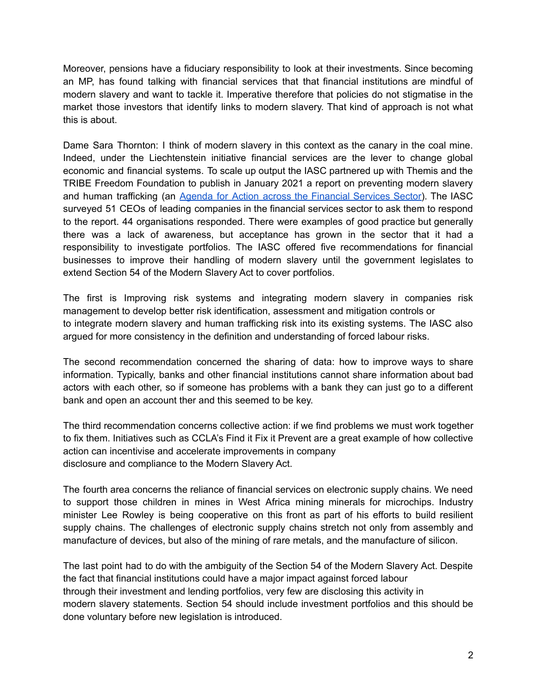Moreover, pensions have a fiduciary responsibility to look at their investments. Since becoming an MP, has found talking with financial services that that financial institutions are mindful of modern slavery and want to tackle it. Imperative therefore that policies do not stigmatise in the market those investors that identify links to modern slavery. That kind of approach is not what this is about.

Dame Sara Thornton: I think of modern slavery in this context as the canary in the coal mine. Indeed, under the Liechtenstein initiative financial services are the lever to change global economic and financial systems. To scale up output the IASC partnered up with Themis and the TRIBE Freedom Foundation to publish in January 2021 a report on preventing modern slavery and human trafficking (an Agenda for Action across the [Financial](http://www.antislaverycommissioner.co.uk/news-insights/new-joint-report-on-modern-slavery-and-financial-services/) Services Sector). The IASC surveyed 51 CEOs of leading companies in the financial services sector to ask them to respond to the report. 44 organisations responded. There were examples of good practice but generally there was a lack of awareness, but acceptance has grown in the sector that it had a responsibility to investigate portfolios. The IASC offered five recommendations for financial businesses to improve their handling of modern slavery until the government legislates to extend Section 54 of the Modern Slavery Act to cover portfolios.

The first is Improving risk systems and integrating modern slavery in companies risk management to develop better risk identification, assessment and mitigation controls or to integrate modern slavery and human trafficking risk into its existing systems. The IASC also argued for more consistency in the definition and understanding of forced labour risks.

The second recommendation concerned the sharing of data: how to improve ways to share information. Typically, banks and other financial institutions cannot share information about bad actors with each other, so if someone has problems with a bank they can just go to a different bank and open an account ther and this seemed to be key.

The third recommendation concerns collective action: if we find problems we must work together to fix them. Initiatives such as CCLA's Find it Fix it Prevent are a great example of how collective action can incentivise and accelerate improvements in company disclosure and compliance to the Modern Slavery Act.

The fourth area concerns the reliance of financial services on electronic supply chains. We need to support those children in mines in West Africa mining minerals for microchips. Industry minister Lee Rowley is being cooperative on this front as part of his efforts to build resilient supply chains. The challenges of electronic supply chains stretch not only from assembly and manufacture of devices, but also of the mining of rare metals, and the manufacture of silicon.

The last point had to do with the ambiguity of the Section 54 of the Modern Slavery Act. Despite the fact that financial institutions could have a major impact against forced labour through their investment and lending portfolios, very few are disclosing this activity in modern slavery statements. Section 54 should include investment portfolios and this should be done voluntary before new legislation is introduced.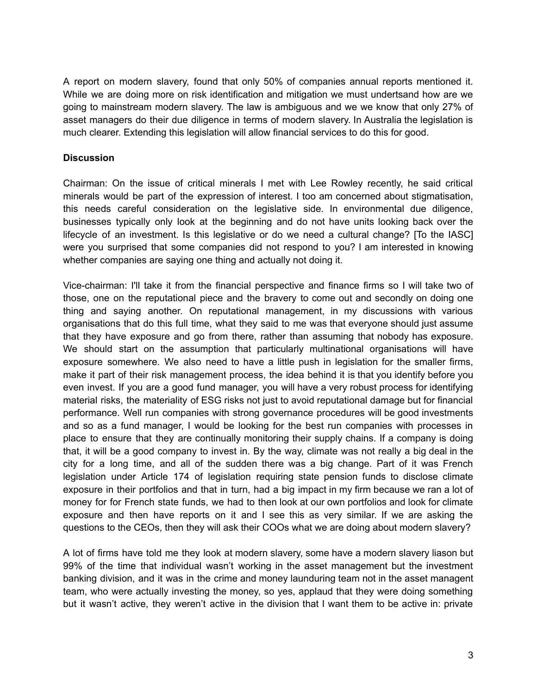A report on modern slavery, found that only 50% of companies annual reports mentioned it. While we are doing more on risk identification and mitigation we must undertsand how are we going to mainstream modern slavery. The law is ambiguous and we we know that only 27% of asset managers do their due diligence in terms of modern slavery. In Australia the legislation is much clearer. Extending this legislation will allow financial services to do this for good.

### **Discussion**

Chairman: On the issue of critical minerals I met with Lee Rowley recently, he said critical minerals would be part of the expression of interest. I too am concerned about stigmatisation, this needs careful consideration on the legislative side. In environmental due diligence, businesses typically only look at the beginning and do not have units looking back over the lifecycle of an investment. Is this legislative or do we need a cultural change? [To the IASC] were you surprised that some companies did not respond to you? I am interested in knowing whether companies are saying one thing and actually not doing it.

Vice-chairman: I'll take it from the financial perspective and finance firms so I will take two of those, one on the reputational piece and the bravery to come out and secondly on doing one thing and saying another. On reputational management, in my discussions with various organisations that do this full time, what they said to me was that everyone should just assume that they have exposure and go from there, rather than assuming that nobody has exposure. We should start on the assumption that particularly multinational organisations will have exposure somewhere. We also need to have a little push in legislation for the smaller firms, make it part of their risk management process, the idea behind it is that you identify before you even invest. If you are a good fund manager, you will have a very robust process for identifying material risks, the materiality of ESG risks not just to avoid reputational damage but for financial performance. Well run companies with strong governance procedures will be good investments and so as a fund manager, I would be looking for the best run companies with processes in place to ensure that they are continually monitoring their supply chains. If a company is doing that, it will be a good company to invest in. By the way, climate was not really a big deal in the city for a long time, and all of the sudden there was a big change. Part of it was French legislation under Article 174 of legislation requiring state pension funds to disclose climate exposure in their portfolios and that in turn, had a big impact in my firm because we ran a lot of money for for French state funds, we had to then look at our own portfolios and look for climate exposure and then have reports on it and I see this as very similar. If we are asking the questions to the CEOs, then they will ask their COOs what we are doing about modern slavery?

A lot of firms have told me they look at modern slavery, some have a modern slavery liason but 99% of the time that individual wasn't working in the asset management but the investment banking division, and it was in the crime and money launduring team not in the asset managent team, who were actually investing the money, so yes, applaud that they were doing something but it wasn't active, they weren't active in the division that I want them to be active in: private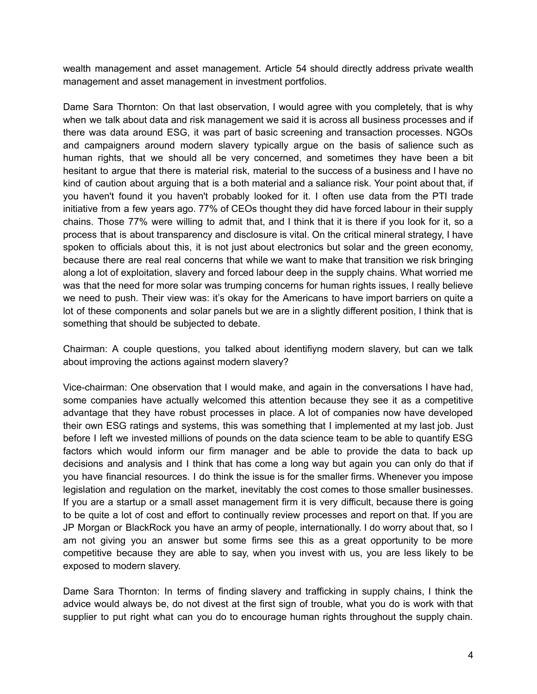wealth management and asset management. Article 54 should directly address private wealth management and asset management in investment portfolios.

Dame Sara Thornton: On that last observation, I would agree with you completely, that is why when we talk about data and risk management we said it is across all business processes and if there was data around ESG, it was part of basic screening and transaction processes. NGOs and campaigners around modern slavery typically argue on the basis of salience such as human rights, that we should all be very concerned, and sometimes they have been a bit hesitant to argue that there is material risk, material to the success of a business and I have no kind of caution about arguing that is a both material and a saliance risk. Your point about that, if you haven't found it you haven't probably looked for it. I often use data from the PTI trade initiative from a few years ago. 77% of CEOs thought they did have forced labour in their supply chains. Those 77% were willing to admit that, and I think that it is there if you look for it, so a process that is about transparency and disclosure is vital. On the critical mineral strategy, I have spoken to officials about this, it is not just about electronics but solar and the green economy, because there are real real concerns that while we want to make that transition we risk bringing along a lot of exploitation, slavery and forced labour deep in the supply chains. What worried me was that the need for more solar was trumping concerns for human rights issues, I really believe we need to push. Their view was: it's okay for the Americans to have import barriers on quite a lot of these components and solar panels but we are in a slightly different position, I think that is something that should be subjected to debate.

Chairman: A couple questions, you talked about identifiyng modern slavery, but can we talk about improving the actions against modern slavery?

Vice-chairman: One observation that I would make, and again in the conversations I have had, some companies have actually welcomed this attention because they see it as a competitive advantage that they have robust processes in place. A lot of companies now have developed their own ESG ratings and systems, this was something that I implemented at my last job. Just before I left we invested millions of pounds on the data science team to be able to quantify ESG factors which would inform our firm manager and be able to provide the data to back up decisions and analysis and I think that has come a long way but again you can only do that if you have financial resources. I do think the issue is for the smaller firms. Whenever you impose legislation and regulation on the market, inevitably the cost comes to those smaller businesses. If you are a startup or a small asset management firm it is very difficult, because there is going to be quite a lot of cost and effort to continually review processes and report on that. If you are JP Morgan or BlackRock you have an army of people, internationally. I do worry about that, so I am not giving you an answer but some firms see this as a great opportunity to be more competitive because they are able to say, when you invest with us, you are less likely to be exposed to modern slavery.

Dame Sara Thornton: In terms of finding slavery and trafficking in supply chains, I think the advice would always be, do not divest at the first sign of trouble, what you do is work with that supplier to put right what can you do to encourage human rights throughout the supply chain.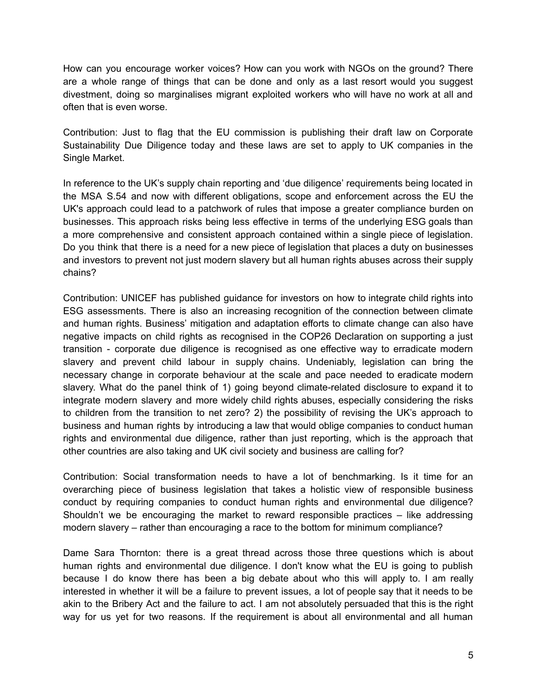How can you encourage worker voices? How can you work with NGOs on the ground? There are a whole range of things that can be done and only as a last resort would you suggest divestment, doing so marginalises migrant exploited workers who will have no work at all and often that is even worse.

Contribution: Just to flag that the EU commission is publishing their draft law on Corporate Sustainability Due Diligence today and these laws are set to apply to UK companies in the Single Market.

In reference to the UK's supply chain reporting and 'due diligence' requirements being located in the MSA S.54 and now with different obligations, scope and enforcement across the EU the UK's approach could lead to a patchwork of rules that impose a greater compliance burden on businesses. This approach risks being less effective in terms of the underlying ESG goals than a more comprehensive and consistent approach contained within a single piece of legislation. Do you think that there is a need for a new piece of legislation that places a duty on businesses and investors to prevent not just modern slavery but all human rights abuses across their supply chains?

Contribution: UNICEF has published guidance for investors on how to integrate child rights into ESG assessments. There is also an increasing recognition of the connection between climate and human rights. Business' mitigation and adaptation efforts to climate change can also have negative impacts on child rights as recognised in the COP26 Declaration on supporting a just transition - corporate due diligence is recognised as one effective way to erradicate modern slavery and prevent child labour in supply chains. Undeniably, legislation can bring the necessary change in corporate behaviour at the scale and pace needed to eradicate modern slavery. What do the panel think of 1) going beyond climate-related disclosure to expand it to integrate modern slavery and more widely child rights abuses, especially considering the risks to children from the transition to net zero? 2) the possibility of revising the UK's approach to business and human rights by introducing a law that would oblige companies to conduct human rights and environmental due diligence, rather than just reporting, which is the approach that other countries are also taking and UK civil society and business are calling for?

Contribution: Social transformation needs to have a lot of benchmarking. Is it time for an overarching piece of business legislation that takes a holistic view of responsible business conduct by requiring companies to conduct human rights and environmental due diligence? Shouldn't we be encouraging the market to reward responsible practices – like addressing modern slavery – rather than encouraging a race to the bottom for minimum compliance?

Dame Sara Thornton: there is a great thread across those three questions which is about human rights and environmental due diligence. I don't know what the EU is going to publish because I do know there has been a big debate about who this will apply to. I am really interested in whether it will be a failure to prevent issues, a lot of people say that it needs to be akin to the Bribery Act and the failure to act. I am not absolutely persuaded that this is the right way for us yet for two reasons. If the requirement is about all environmental and all human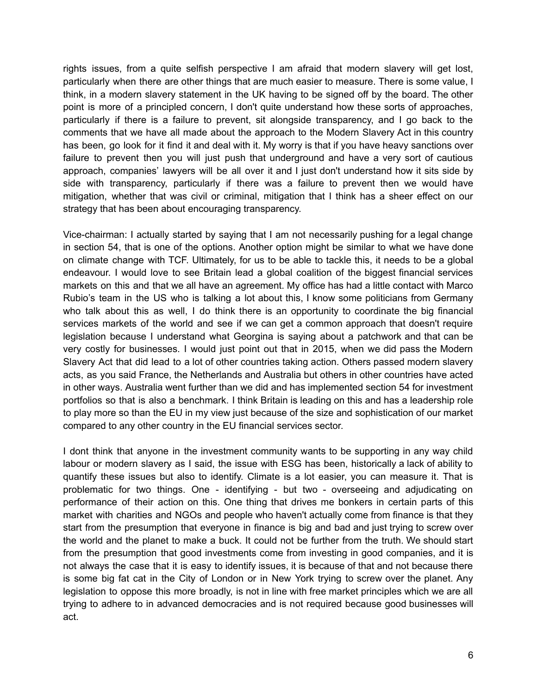rights issues, from a quite selfish perspective I am afraid that modern slavery will get lost, particularly when there are other things that are much easier to measure. There is some value, I think, in a modern slavery statement in the UK having to be signed off by the board. The other point is more of a principled concern, I don't quite understand how these sorts of approaches, particularly if there is a failure to prevent, sit alongside transparency, and I go back to the comments that we have all made about the approach to the Modern Slavery Act in this country has been, go look for it find it and deal with it. My worry is that if you have heavy sanctions over failure to prevent then you will just push that underground and have a very sort of cautious approach, companies' lawyers will be all over it and I just don't understand how it sits side by side with transparency, particularly if there was a failure to prevent then we would have mitigation, whether that was civil or criminal, mitigation that I think has a sheer effect on our strategy that has been about encouraging transparency.

Vice-chairman: I actually started by saying that I am not necessarily pushing for a legal change in section 54, that is one of the options. Another option might be similar to what we have done on climate change with TCF. Ultimately, for us to be able to tackle this, it needs to be a global endeavour. I would love to see Britain lead a global coalition of the biggest financial services markets on this and that we all have an agreement. My office has had a little contact with Marco Rubio's team in the US who is talking a lot about this, I know some politicians from Germany who talk about this as well, I do think there is an opportunity to coordinate the big financial services markets of the world and see if we can get a common approach that doesn't require legislation because I understand what Georgina is saying about a patchwork and that can be very costly for businesses. I would just point out that in 2015, when we did pass the Modern Slavery Act that did lead to a lot of other countries taking action. Others passed modern slavery acts, as you said France, the Netherlands and Australia but others in other countries have acted in other ways. Australia went further than we did and has implemented section 54 for investment portfolios so that is also a benchmark. I think Britain is leading on this and has a leadership role to play more so than the EU in my view just because of the size and sophistication of our market compared to any other country in the EU financial services sector.

I dont think that anyone in the investment community wants to be supporting in any way child labour or modern slavery as I said, the issue with ESG has been, historically a lack of ability to quantify these issues but also to identify. Climate is a lot easier, you can measure it. That is problematic for two things. One - identifying - but two - overseeing and adjudicating on performance of their action on this. One thing that drives me bonkers in certain parts of this market with charities and NGOs and people who haven't actually come from finance is that they start from the presumption that everyone in finance is big and bad and just trying to screw over the world and the planet to make a buck. It could not be further from the truth. We should start from the presumption that good investments come from investing in good companies, and it is not always the case that it is easy to identify issues, it is because of that and not because there is some big fat cat in the City of London or in New York trying to screw over the planet. Any legislation to oppose this more broadly, is not in line with free market principles which we are all trying to adhere to in advanced democracies and is not required because good businesses will act.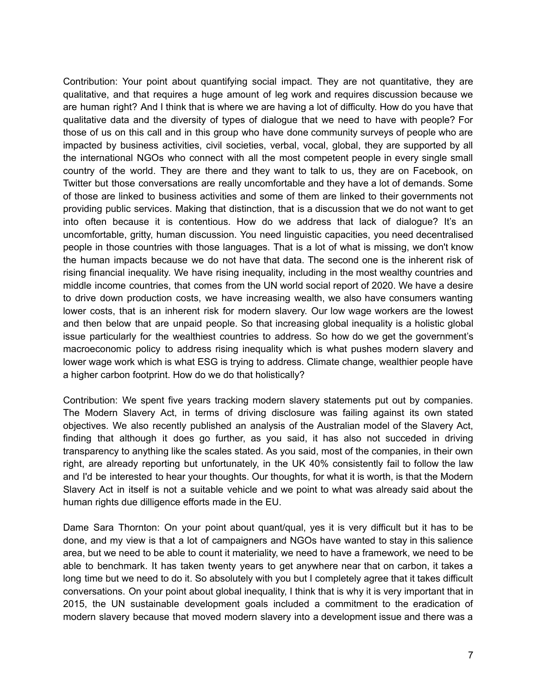Contribution: Your point about quantifying social impact. They are not quantitative, they are qualitative, and that requires a huge amount of leg work and requires discussion because we are human right? And I think that is where we are having a lot of difficulty. How do you have that qualitative data and the diversity of types of dialogue that we need to have with people? For those of us on this call and in this group who have done community surveys of people who are impacted by business activities, civil societies, verbal, vocal, global, they are supported by all the international NGOs who connect with all the most competent people in every single small country of the world. They are there and they want to talk to us, they are on Facebook, on Twitter but those conversations are really uncomfortable and they have a lot of demands. Some of those are linked to business activities and some of them are linked to their governments not providing public services. Making that distinction, that is a discussion that we do not want to get into often because it is contentious. How do we address that lack of dialogue? It's an uncomfortable, gritty, human discussion. You need linguistic capacities, you need decentralised people in those countries with those languages. That is a lot of what is missing, we don't know the human impacts because we do not have that data. The second one is the inherent risk of rising financial inequality. We have rising inequality, including in the most wealthy countries and middle income countries, that comes from the UN world social report of 2020. We have a desire to drive down production costs, we have increasing wealth, we also have consumers wanting lower costs, that is an inherent risk for modern slavery. Our low wage workers are the lowest and then below that are unpaid people. So that increasing global inequality is a holistic global issue particularly for the wealthiest countries to address. So how do we get the government's macroeconomic policy to address rising inequality which is what pushes modern slavery and lower wage work which is what ESG is trying to address. Climate change, wealthier people have a higher carbon footprint. How do we do that holistically?

Contribution: We spent five years tracking modern slavery statements put out by companies. The Modern Slavery Act, in terms of driving disclosure was failing against its own stated objectives. We also recently published an analysis of the Australian model of the Slavery Act, finding that although it does go further, as you said, it has also not succeded in driving transparency to anything like the scales stated. As you said, most of the companies, in their own right, are already reporting but unfortunately, in the UK 40% consistently fail to follow the law and I'd be interested to hear your thoughts. Our thoughts, for what it is worth, is that the Modern Slavery Act in itself is not a suitable vehicle and we point to what was already said about the human rights due dilligence efforts made in the EU.

Dame Sara Thornton: On your point about quant/qual, yes it is very difficult but it has to be done, and my view is that a lot of campaigners and NGOs have wanted to stay in this salience area, but we need to be able to count it materiality, we need to have a framework, we need to be able to benchmark. It has taken twenty years to get anywhere near that on carbon, it takes a long time but we need to do it. So absolutely with you but I completely agree that it takes difficult conversations. On your point about global inequality, I think that is why it is very important that in 2015, the UN sustainable development goals included a commitment to the eradication of modern slavery because that moved modern slavery into a development issue and there was a